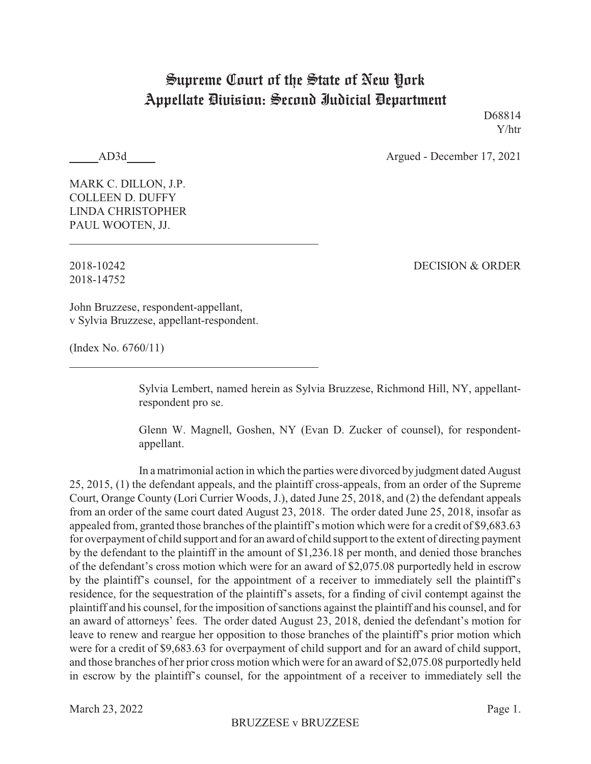## Supreme Court of the State of New York Appellate Division: Second Judicial Department

D68814 Y/htr

AD3d Argued - December 17, 2021

MARK C. DILLON, J.P. COLLEEN D. DUFFY LINDA CHRISTOPHER PAUL WOOTEN, JJ.

2018-14752

2018-10242 DECISION & ORDER

John Bruzzese, respondent-appellant, v Sylvia Bruzzese, appellant-respondent.

(Index No. 6760/11)

Sylvia Lembert, named herein as Sylvia Bruzzese, Richmond Hill, NY, appellantrespondent pro se.

Glenn W. Magnell, Goshen, NY (Evan D. Zucker of counsel), for respondentappellant.

In a matrimonial action in which the parties were divorced by judgment dated August 25, 2015, (1) the defendant appeals, and the plaintiff cross-appeals, from an order of the Supreme Court, Orange County (Lori Currier Woods, J.), dated June 25, 2018, and (2) the defendant appeals from an order of the same court dated August 23, 2018. The order dated June 25, 2018, insofar as appealed from, granted those branches of the plaintiff's motion which were for a credit of \$9,683.63 for overpayment of child support and for an award of child support to the extent of directing payment by the defendant to the plaintiff in the amount of \$1,236.18 per month, and denied those branches of the defendant's cross motion which were for an award of \$2,075.08 purportedly held in escrow by the plaintiff's counsel, for the appointment of a receiver to immediately sell the plaintiff's residence, for the sequestration of the plaintiff's assets, for a finding of civil contempt against the plaintiff and his counsel, for the imposition of sanctions against the plaintiff and his counsel, and for an award of attorneys' fees. The order dated August 23, 2018, denied the defendant's motion for leave to renew and reargue her opposition to those branches of the plaintiff's prior motion which were for a credit of \$9,683.63 for overpayment of child support and for an award of child support, and those branches of her prior cross motion which were for an award of \$2,075.08 purportedly held in escrow by the plaintiff's counsel, for the appointment of a receiver to immediately sell the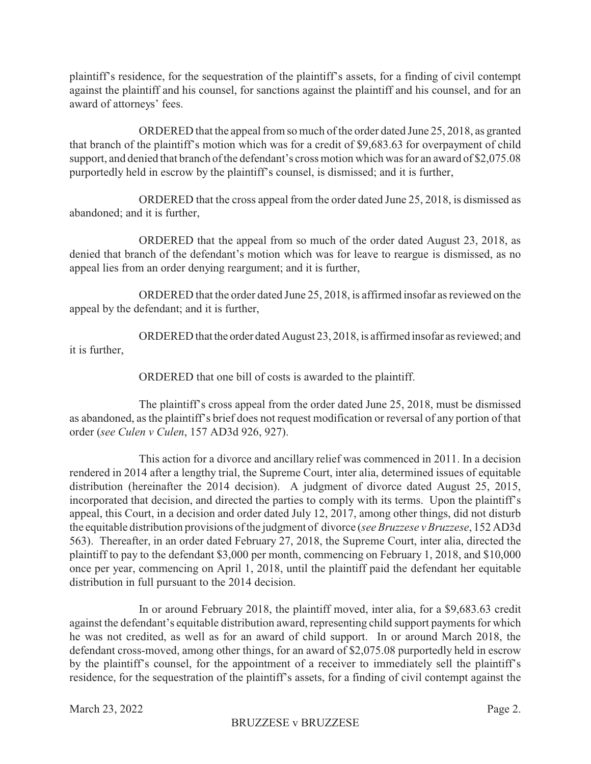plaintiff's residence, for the sequestration of the plaintiff's assets, for a finding of civil contempt against the plaintiff and his counsel, for sanctions against the plaintiff and his counsel, and for an award of attorneys' fees.

ORDERED that the appeal from so much of the order dated June 25, 2018, as granted that branch of the plaintiff's motion which was for a credit of \$9,683.63 for overpayment of child support, and denied that branch of the defendant's cross motion which was for an award of \$2,075.08 purportedly held in escrow by the plaintiff's counsel, is dismissed; and it is further,

ORDERED that the cross appeal from the order dated June 25, 2018, is dismissed as abandoned; and it is further,

ORDERED that the appeal from so much of the order dated August 23, 2018, as denied that branch of the defendant's motion which was for leave to reargue is dismissed, as no appeal lies from an order denying reargument; and it is further,

ORDERED that the order dated June 25, 2018, is affirmed insofar as reviewed on the appeal by the defendant; and it is further,

ORDERED that the order dated August 23, 2018, is affirmed insofar as reviewed; and it is further,

ORDERED that one bill of costs is awarded to the plaintiff.

The plaintiff's cross appeal from the order dated June 25, 2018, must be dismissed as abandoned, as the plaintiff's brief does not request modification or reversal of any portion of that order (*see Culen v Culen*, 157 AD3d 926, 927).

This action for a divorce and ancillary relief was commenced in 2011. In a decision rendered in 2014 after a lengthy trial, the Supreme Court, inter alia, determined issues of equitable distribution (hereinafter the 2014 decision). A judgment of divorce dated August 25, 2015, incorporated that decision, and directed the parties to comply with its terms. Upon the plaintiff's appeal, this Court, in a decision and order dated July 12, 2017, among other things, did not disturb the equitable distribution provisions of the judgment of divorce (*see Bruzzese v Bruzzese*, 152 AD3d 563). Thereafter, in an order dated February 27, 2018, the Supreme Court, inter alia, directed the plaintiff to pay to the defendant \$3,000 per month, commencing on February 1, 2018, and \$10,000 once per year, commencing on April 1, 2018, until the plaintiff paid the defendant her equitable distribution in full pursuant to the 2014 decision.

In or around February 2018, the plaintiff moved, inter alia, for a \$9,683.63 credit against the defendant's equitable distribution award, representing child support payments for which he was not credited, as well as for an award of child support. In or around March 2018, the defendant cross-moved, among other things, for an award of \$2,075.08 purportedly held in escrow by the plaintiff's counsel, for the appointment of a receiver to immediately sell the plaintiff's residence, for the sequestration of the plaintiff's assets, for a finding of civil contempt against the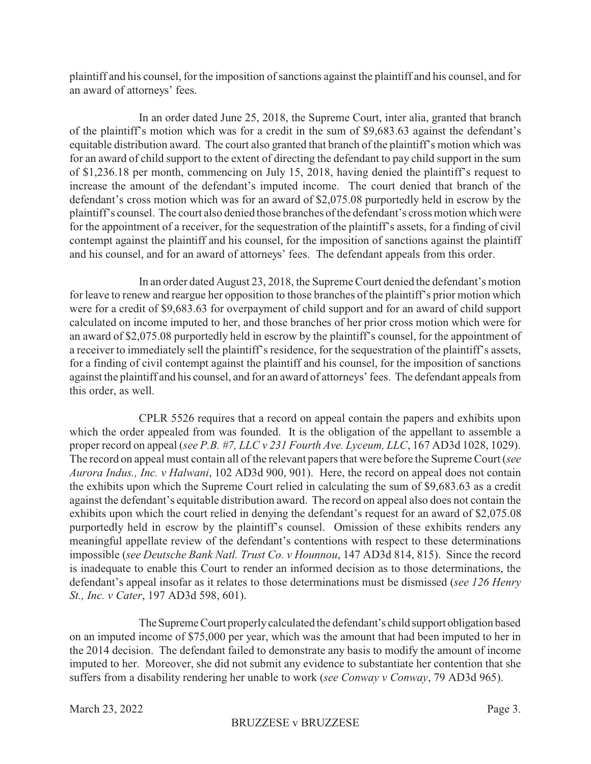plaintiff and his counsel, for the imposition of sanctions against the plaintiff and his counsel, and for an award of attorneys' fees.

In an order dated June 25, 2018, the Supreme Court, inter alia, granted that branch of the plaintiff's motion which was for a credit in the sum of \$9,683.63 against the defendant's equitable distribution award. The court also granted that branch of the plaintiff's motion which was for an award of child support to the extent of directing the defendant to pay child support in the sum of \$1,236.18 per month, commencing on July 15, 2018, having denied the plaintiff's request to increase the amount of the defendant's imputed income. The court denied that branch of the defendant's cross motion which was for an award of \$2,075.08 purportedly held in escrow by the plaintiff's counsel. The court also denied those branches of the defendant's cross motion which were for the appointment of a receiver, for the sequestration of the plaintiff's assets, for a finding of civil contempt against the plaintiff and his counsel, for the imposition of sanctions against the plaintiff and his counsel, and for an award of attorneys' fees. The defendant appeals from this order.

In an order dated August 23, 2018, the Supreme Court denied the defendant's motion for leave to renew and reargue her opposition to those branches of the plaintiff's prior motion which were for a credit of \$9,683.63 for overpayment of child support and for an award of child support calculated on income imputed to her, and those branches of her prior cross motion which were for an award of \$2,075.08 purportedly held in escrow by the plaintiff's counsel, for the appointment of a receiver to immediately sell the plaintiff's residence, for the sequestration of the plaintiff's assets, for a finding of civil contempt against the plaintiff and his counsel, for the imposition of sanctions against the plaintiff and his counsel, and for an award of attorneys' fees. The defendant appeals from this order, as well.

CPLR 5526 requires that a record on appeal contain the papers and exhibits upon which the order appealed from was founded. It is the obligation of the appellant to assemble a proper record on appeal (*see P.B. #7, LLC v 231 Fourth Ave. Lyceum, LLC*, 167 AD3d 1028, 1029). The record on appeal must contain all of the relevant papers that were before the Supreme Court (*see Aurora Indus., Inc. v Halwani*, 102 AD3d 900, 901). Here, the record on appeal does not contain the exhibits upon which the Supreme Court relied in calculating the sum of \$9,683.63 as a credit against the defendant's equitable distribution award. The record on appeal also does not contain the exhibits upon which the court relied in denying the defendant's request for an award of \$2,075.08 purportedly held in escrow by the plaintiff's counsel. Omission of these exhibits renders any meaningful appellate review of the defendant's contentions with respect to these determinations impossible (*see Deutsche Bank Natl. Trust Co. v Hounnou*, 147 AD3d 814, 815). Since the record is inadequate to enable this Court to render an informed decision as to those determinations, the defendant's appeal insofar as it relates to those determinations must be dismissed (*see 126 Henry St., Inc. v Cater*, 197 AD3d 598, 601).

The Supreme Court properly calculated the defendant's child support obligation based on an imputed income of \$75,000 per year, which was the amount that had been imputed to her in the 2014 decision. The defendant failed to demonstrate any basis to modify the amount of income imputed to her. Moreover, she did not submit any evidence to substantiate her contention that she suffers from a disability rendering her unable to work (*see Conway v Conway*, 79 AD3d 965).